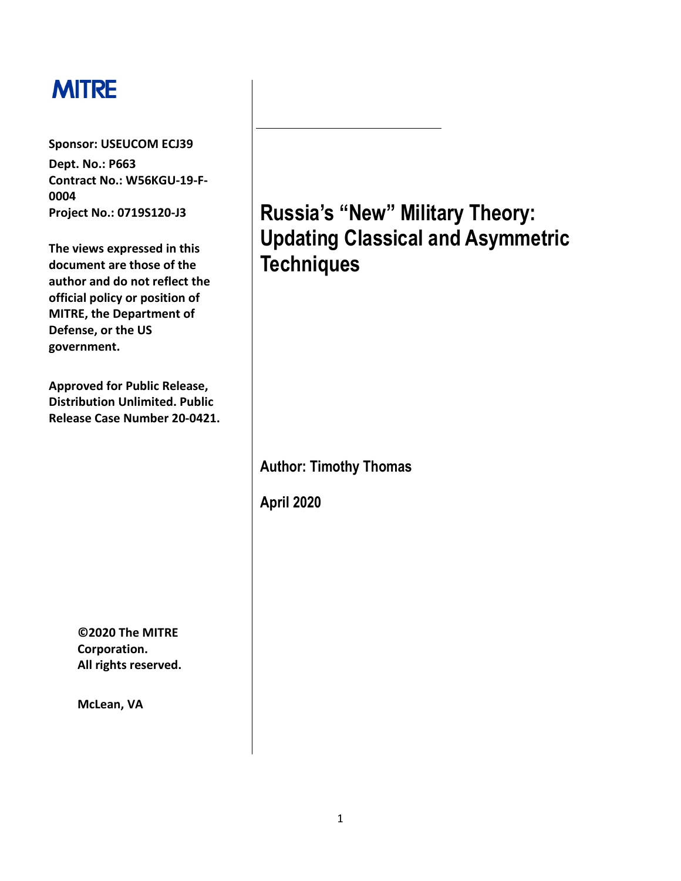# **MITRE**

**Sponsor: USEUCOM ECJ39** 

**Dept. No.: P663 Contract No.: W56KGU-19-F-0004 Project No.: 0719S120-J3** 

**The views expressed in this document are those of the author and do not reflect the official policy or position of MITRE, the Department of Defense, or the US government.** 

**Approved for Public Release, Distribution Unlimited. Public Release Case Number 20-0421.** 

> **©2020 The MITRE Corporation. All rights reserved.**

**McLean, VA** 

**Russia's "New" Military Theory: Updating Classical and Asymmetric Techniques** 

**Author: Timothy Thomas** 

**April 2020**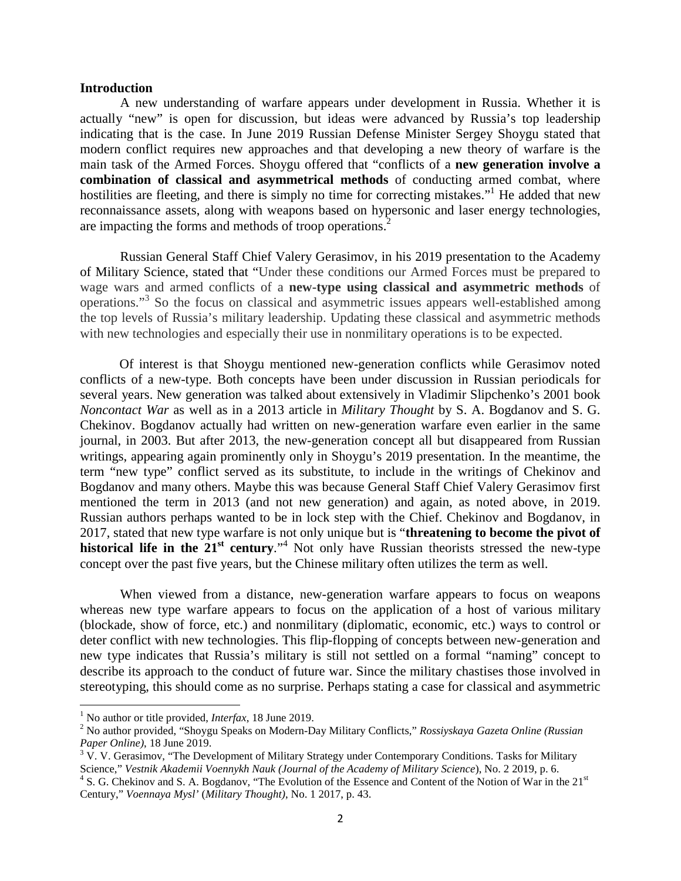#### **Introduction**

A new understanding of warfare appears under development in Russia. Whether it is actually "new" is open for discussion, but ideas were advanced by Russia's top leadership indicating that is the case. In June 2019 Russian Defense Minister Sergey Shoygu stated that modern conflict requires new approaches and that developing a new theory of warfare is the main task of the Armed Forces. Shoygu offered that "conflicts of a **new generation involve a combination of classical and asymmetrical methods** of conducting armed combat, where hostilities are fleeting, and there is simply no time for correcting mistakes."<sup>1</sup> He added that new reconnaissance assets, along with weapons based on hypersonic and laser energy technologies, are impacting the forms and methods of troop operations.<sup>2</sup>

Russian General Staff Chief Valery Gerasimov, in his 2019 presentation to the Academy of Military Science, stated that "Under these conditions our Armed Forces must be prepared to wage wars and armed conflicts of a **new-type using classical and asymmetric methods** of operations."<sup>3</sup> So the focus on classical and asymmetric issues appears well-established among the top levels of Russia's military leadership. Updating these classical and asymmetric methods with new technologies and especially their use in nonmilitary operations is to be expected.

Of interest is that Shoygu mentioned new-generation conflicts while Gerasimov noted conflicts of a new-type. Both concepts have been under discussion in Russian periodicals for several years. New generation was talked about extensively in Vladimir Slipchenko's 2001 book *Noncontact War* as well as in a 2013 article in *Military Thought* by S. A. Bogdanov and S. G. Chekinov. Bogdanov actually had written on new-generation warfare even earlier in the same journal, in 2003. But after 2013, the new-generation concept all but disappeared from Russian writings, appearing again prominently only in Shoygu's 2019 presentation. In the meantime, the term "new type" conflict served as its substitute, to include in the writings of Chekinov and Bogdanov and many others. Maybe this was because General Staff Chief Valery Gerasimov first mentioned the term in 2013 (and not new generation) and again, as noted above, in 2019. Russian authors perhaps wanted to be in lock step with the Chief. Chekinov and Bogdanov, in 2017, stated that new type warfare is not only unique but is "**threatening to become the pivot of**  historical life in the 21<sup>st</sup> century."<sup>4</sup> Not only have Russian theorists stressed the new-type concept over the past five years, but the Chinese military often utilizes the term as well.

When viewed from a distance, new-generation warfare appears to focus on weapons whereas new type warfare appears to focus on the application of a host of various military (blockade, show of force, etc.) and nonmilitary (diplomatic, economic, etc.) ways to control or deter conflict with new technologies. This flip-flopping of concepts between new-generation and new type indicates that Russia's military is still not settled on a formal "naming" concept to describe its approach to the conduct of future war. Since the military chastises those involved in stereotyping, this should come as no surprise. Perhaps stating a case for classical and asymmetric

<sup>&</sup>lt;sup>1</sup> No author or title provided, *Interfax*, 18 June 2019.

<sup>2</sup> No author provided, "Shoygu Speaks on Modern-Day Military Conflicts," *Rossiyskaya Gazeta Online (Russian Paper Online)*, 18 June 2019.

 $3 \text{ V}$ . V. Gerasimov, "The Development of Military Strategy under Contemporary Conditions. Tasks for Military Science," *Vestnik Akademii Voennykh Nauk (Journal of the Academy of Military Science)*, No. 2 2019, p. 6.<br><sup>4</sup> S. G. Chekinov and S. A. Bogdanov, "The Evolution of the Essence and Content of the Notion of War in the 21<sup>st</sup> Century," *Voennaya Mysl'* (*Military Thought)*, No. 1 2017, p. 43.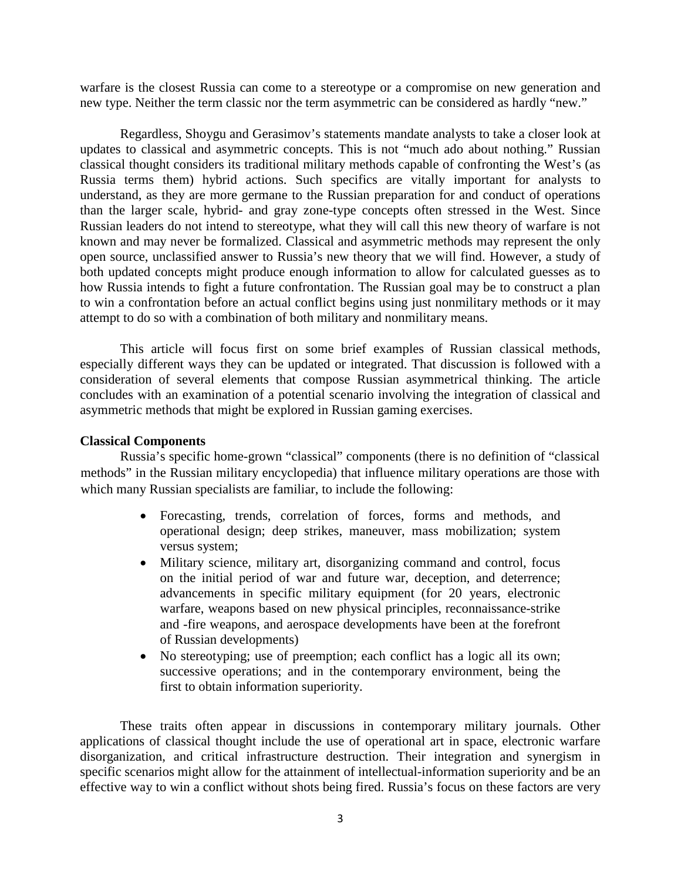warfare is the closest Russia can come to a stereotype or a compromise on new generation and new type. Neither the term classic nor the term asymmetric can be considered as hardly "new."

Regardless, Shoygu and Gerasimov's statements mandate analysts to take a closer look at updates to classical and asymmetric concepts. This is not "much ado about nothing." Russian classical thought considers its traditional military methods capable of confronting the West's (as Russia terms them) hybrid actions. Such specifics are vitally important for analysts to understand, as they are more germane to the Russian preparation for and conduct of operations than the larger scale, hybrid- and gray zone-type concepts often stressed in the West. Since Russian leaders do not intend to stereotype, what they will call this new theory of warfare is not known and may never be formalized. Classical and asymmetric methods may represent the only open source, unclassified answer to Russia's new theory that we will find. However, a study of both updated concepts might produce enough information to allow for calculated guesses as to how Russia intends to fight a future confrontation. The Russian goal may be to construct a plan to win a confrontation before an actual conflict begins using just nonmilitary methods or it may attempt to do so with a combination of both military and nonmilitary means.

This article will focus first on some brief examples of Russian classical methods, especially different ways they can be updated or integrated. That discussion is followed with a consideration of several elements that compose Russian asymmetrical thinking. The article concludes with an examination of a potential scenario involving the integration of classical and asymmetric methods that might be explored in Russian gaming exercises.

## **Classical Components**

Russia's specific home-grown "classical" components (there is no definition of "classical methods" in the Russian military encyclopedia) that influence military operations are those with which many Russian specialists are familiar, to include the following:

- Forecasting, trends, correlation of forces, forms and methods, and operational design; deep strikes, maneuver, mass mobilization; system versus system;
- Military science, military art, disorganizing command and control, focus on the initial period of war and future war, deception, and deterrence; advancements in specific military equipment (for 20 years, electronic warfare, weapons based on new physical principles, reconnaissance-strike and -fire weapons, and aerospace developments have been at the forefront of Russian developments)
- No stereotyping; use of preemption; each conflict has a logic all its own; successive operations; and in the contemporary environment, being the first to obtain information superiority.

These traits often appear in discussions in contemporary military journals. Other applications of classical thought include the use of operational art in space, electronic warfare disorganization, and critical infrastructure destruction. Their integration and synergism in specific scenarios might allow for the attainment of intellectual-information superiority and be an effective way to win a conflict without shots being fired. Russia's focus on these factors are very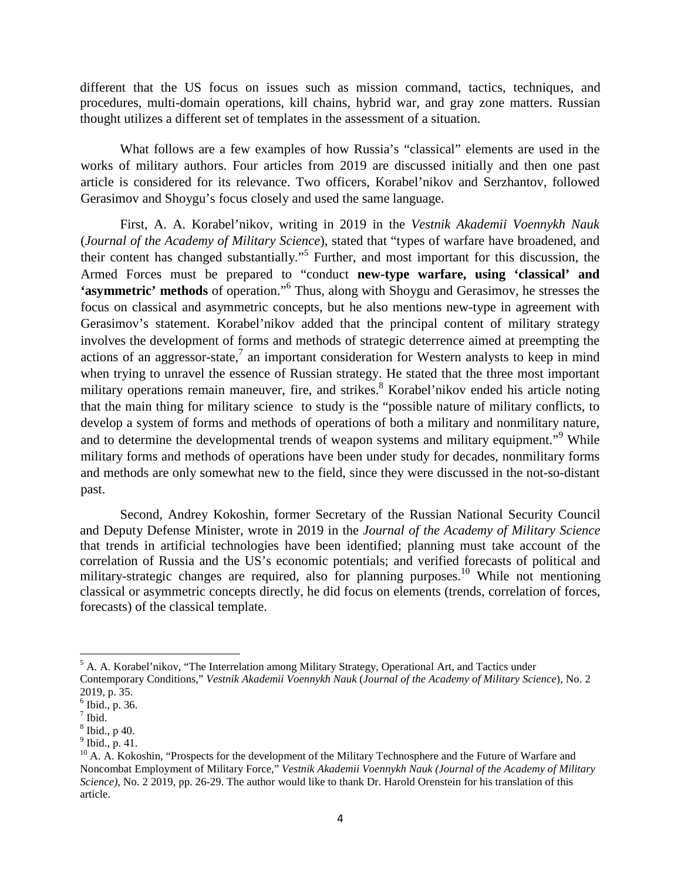different that the US focus on issues such as mission command, tactics, techniques, and procedures, multi-domain operations, kill chains, hybrid war, and gray zone matters. Russian thought utilizes a different set of templates in the assessment of a situation.

What follows are a few examples of how Russia's "classical" elements are used in the works of military authors. Four articles from 2019 are discussed initially and then one past article is considered for its relevance. Two officers, Korabel'nikov and Serzhantov, followed Gerasimov and Shoygu's focus closely and used the same language.

First, A. A. Korabel'nikov, writing in 2019 in the *Vestnik Akademii Voennykh Nauk* (*Journal of the Academy of Military Science*), stated that "types of warfare have broadened, and their content has changed substantially."<sup>5</sup> Further, and most important for this discussion, the Armed Forces must be prepared to "conduct **new-type warfare, using 'classical' and 'asymmetric' methods** of operation."<sup>6</sup> Thus, along with Shoygu and Gerasimov, he stresses the focus on classical and asymmetric concepts, but he also mentions new-type in agreement with Gerasimov's statement. Korabel'nikov added that the principal content of military strategy involves the development of forms and methods of strategic deterrence aimed at preempting the actions of an aggressor-state,<sup>7</sup> an important consideration for Western analysts to keep in mind when trying to unravel the essence of Russian strategy. He stated that the three most important military operations remain maneuver, fire, and strikes.<sup>8</sup> Korabel'nikov ended his article noting that the main thing for military science to study is the "possible nature of military conflicts, to develop a system of forms and methods of operations of both a military and nonmilitary nature, and to determine the developmental trends of weapon systems and military equipment."<sup>9</sup> While military forms and methods of operations have been under study for decades, nonmilitary forms and methods are only somewhat new to the field, since they were discussed in the not-so-distant past.

Second, Andrey Kokoshin, former Secretary of the Russian National Security Council and Deputy Defense Minister, wrote in 2019 in the *Journal of the Academy of Military Science* that trends in artificial technologies have been identified; planning must take account of the correlation of Russia and the US's economic potentials; and verified forecasts of political and military-strategic changes are required, also for planning purposes.<sup>10</sup> While not mentioning classical or asymmetric concepts directly, he did focus on elements (trends, correlation of forces, forecasts) of the classical template.

<sup>&</sup>lt;sup>5</sup> A. A. Korabel'nikov, "The Interrelation among Military Strategy, Operational Art, and Tactics under Contemporary Conditions," *Vestnik Akademii Voennykh Nauk* (*Journal of the Academy of Military Science*), No. 2 2019, p. 35.

 $<sup>6</sup>$  Ibid., p. 36.</sup>

 $<sup>7</sup>$  Ibid.</sup>

<sup>8</sup> Ibid., p 40.

 $<sup>9</sup>$  Ibid., p. 41.</sup>

 $10$  A. A. Kokoshin, "Prospects for the development of the Military Technosphere and the Future of Warfare and Noncombat Employment of Military Force," *Vestnik Akademii Voennykh Nauk (Journal of the Academy of Military Science)*, No. 2 2019, pp. 26-29. The author would like to thank Dr. Harold Orenstein for his translation of this article.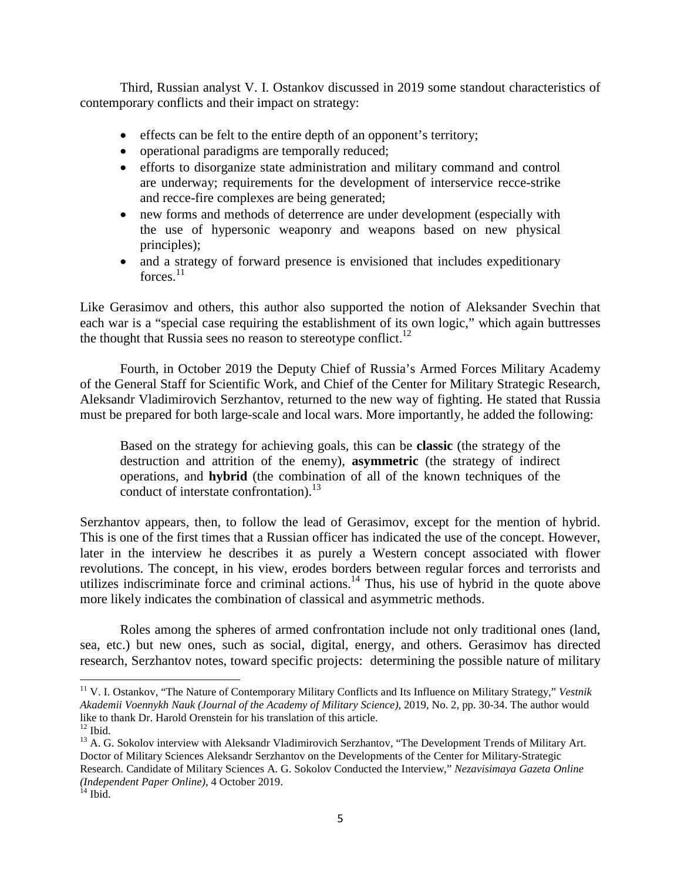Third, Russian analyst V. I. Ostankov discussed in 2019 some standout characteristics of contemporary conflicts and their impact on strategy:

- effects can be felt to the entire depth of an opponent's territory;
- operational paradigms are temporally reduced;
- efforts to disorganize state administration and military command and control are underway; requirements for the development of interservice recce-strike and recce-fire complexes are being generated;
- new forms and methods of deterrence are under development (especially with the use of hypersonic weaponry and weapons based on new physical principles);
- and a strategy of forward presence is envisioned that includes expeditionary  $forces<sup>11</sup>$

Like Gerasimov and others, this author also supported the notion of Aleksander Svechin that each war is a "special case requiring the establishment of its own logic," which again buttresses the thought that Russia sees no reason to stereotype conflict.<sup>12</sup>

Fourth, in October 2019 the Deputy Chief of Russia's Armed Forces Military Academy of the General Staff for Scientific Work, and Chief of the Center for Military Strategic Research, Aleksandr Vladimirovich Serzhantov, returned to the new way of fighting. He stated that Russia must be prepared for both large-scale and local wars. More importantly, he added the following:

Based on the strategy for achieving goals, this can be **classic** (the strategy of the destruction and attrition of the enemy), **asymmetric** (the strategy of indirect operations, and **hybrid** (the combination of all of the known techniques of the conduct of interstate confrontation).<sup>13</sup>

Serzhantov appears, then, to follow the lead of Gerasimov, except for the mention of hybrid. This is one of the first times that a Russian officer has indicated the use of the concept. However, later in the interview he describes it as purely a Western concept associated with flower revolutions. The concept, in his view, erodes borders between regular forces and terrorists and utilizes indiscriminate force and criminal actions.<sup>14</sup> Thus, his use of hybrid in the quote above more likely indicates the combination of classical and asymmetric methods.

Roles among the spheres of armed confrontation include not only traditional ones (land, sea, etc.) but new ones, such as social, digital, energy, and others. Gerasimov has directed research, Serzhantov notes, toward specific projects: determining the possible nature of military

<sup>11</sup> V. I. Ostankov, "The Nature of Contemporary Military Conflicts and Its Influence on Military Strategy," *Vestnik Akademii Voennykh Nauk (Journal of the Academy of Military Science)*, 2019, No. 2, pp. 30-34. The author would like to thank Dr. Harold Orenstein for his translation of this article.

 $12$  Ibid.

<sup>&</sup>lt;sup>13</sup> A. G. Sokolov interview with Aleksandr Vladimirovich Serzhantov, "The Development Trends of Military Art. Doctor of Military Sciences Aleksandr Serzhantov on the Developments of the Center for Military-Strategic Research. Candidate of Military Sciences A. G. Sokolov Conducted the Interview," *Nezavisimaya Gazeta Online (Independent Paper Online)*, 4 October 2019.

 $14$  Ibid.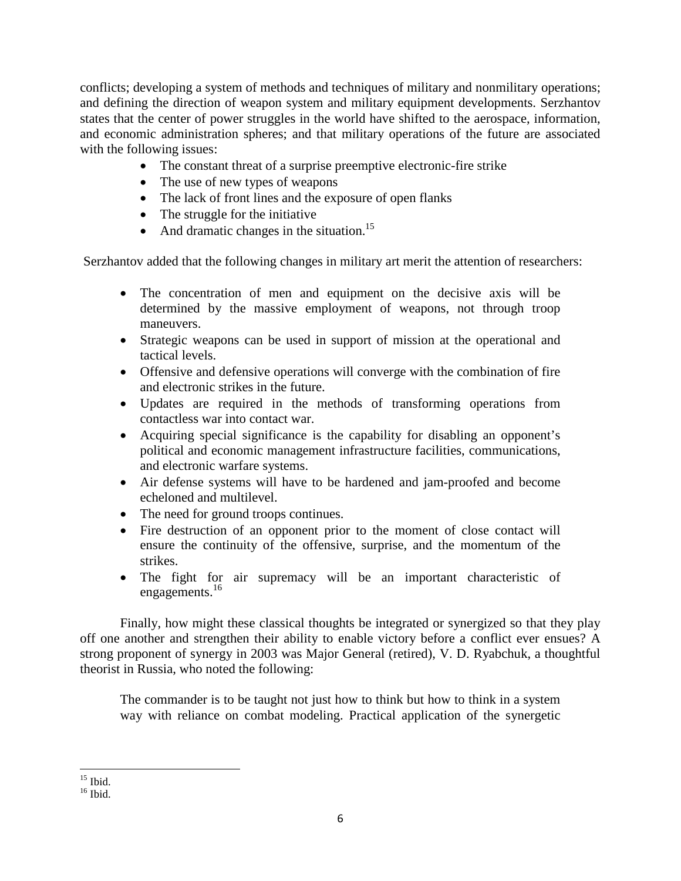conflicts; developing a system of methods and techniques of military and nonmilitary operations; and defining the direction of weapon system and military equipment developments. Serzhantov states that the center of power struggles in the world have shifted to the aerospace, information, and economic administration spheres; and that military operations of the future are associated with the following issues:

- The constant threat of a surprise preemptive electronic-fire strike
- The use of new types of weapons
- The lack of front lines and the exposure of open flanks
- The struggle for the initiative
- And dramatic changes in the situation.<sup>15</sup>

Serzhantov added that the following changes in military art merit the attention of researchers:

- The concentration of men and equipment on the decisive axis will be determined by the massive employment of weapons, not through troop maneuvers.
- Strategic weapons can be used in support of mission at the operational and tactical levels.
- Offensive and defensive operations will converge with the combination of fire and electronic strikes in the future.
- Updates are required in the methods of transforming operations from contactless war into contact war.
- Acquiring special significance is the capability for disabling an opponent's political and economic management infrastructure facilities, communications, and electronic warfare systems.
- Air defense systems will have to be hardened and jam-proofed and become echeloned and multilevel.
- The need for ground troops continues.
- Fire destruction of an opponent prior to the moment of close contact will ensure the continuity of the offensive, surprise, and the momentum of the strikes.
- The fight for air supremacy will be an important characteristic of engagements.<sup>16</sup>

Finally, how might these classical thoughts be integrated or synergized so that they play off one another and strengthen their ability to enable victory before a conflict ever ensues? A strong proponent of synergy in 2003 was Major General (retired), V. D. Ryabchuk, a thoughtful theorist in Russia, who noted the following:

The commander is to be taught not just how to think but how to think in a system way with reliance on combat modeling. Practical application of the synergetic

 $15$  Ibid.

 $16$  Ibid.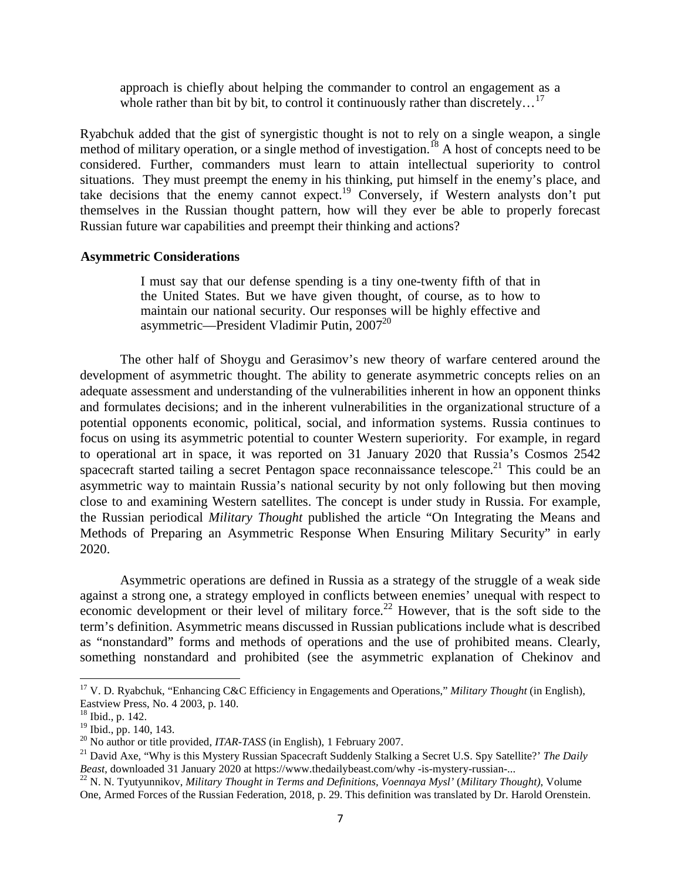approach is chiefly about helping the commander to control an engagement as a whole rather than bit by bit, to control it continuously rather than discretely...<sup>17</sup>

Ryabchuk added that the gist of synergistic thought is not to rely on a single weapon, a single method of military operation, or a single method of investigation.<sup>18</sup> A host of concepts need to be considered. Further, commanders must learn to attain intellectual superiority to control situations. They must preempt the enemy in his thinking, put himself in the enemy's place, and take decisions that the enemy cannot expect.<sup>19</sup> Conversely, if Western analysts don't put themselves in the Russian thought pattern, how will they ever be able to properly forecast Russian future war capabilities and preempt their thinking and actions?

### **Asymmetric Considerations**

I must say that our defense spending is a tiny one-twenty fifth of that in the United States. But we have given thought, of course, as to how to maintain our national security. Our responses will be highly effective and asymmetric—President Vladimir Putin,  $2007^{20}$ 

The other half of Shoygu and Gerasimov's new theory of warfare centered around the development of asymmetric thought. The ability to generate asymmetric concepts relies on an adequate assessment and understanding of the vulnerabilities inherent in how an opponent thinks and formulates decisions; and in the inherent vulnerabilities in the organizational structure of a potential opponents economic, political, social, and information systems. Russia continues to focus on using its asymmetric potential to counter Western superiority. For example, in regard to operational art in space, it was reported on 31 January 2020 that Russia's Cosmos 2542 spacecraft started tailing a secret Pentagon space reconnaissance telescope.<sup>21</sup> This could be an asymmetric way to maintain Russia's national security by not only following but then moving close to and examining Western satellites. The concept is under study in Russia. For example, the Russian periodical *Military Thought* published the article "On Integrating the Means and Methods of Preparing an Asymmetric Response When Ensuring Military Security" in early 2020.

Asymmetric operations are defined in Russia as a strategy of the struggle of a weak side against a strong one, a strategy employed in conflicts between enemies' unequal with respect to economic development or their level of military force.<sup>22</sup> However, that is the soft side to the term's definition. Asymmetric means discussed in Russian publications include what is described as "nonstandard" forms and methods of operations and the use of prohibited means. Clearly, something nonstandard and prohibited (see the asymmetric explanation of Chekinov and

<sup>17</sup> V. D. Ryabchuk, "Enhancing C&C Efficiency in Engagements and Operations," *Military Thought* (in English), Eastview Press, No. 4 2003, p. 140.

<sup>18</sup> Ibid., p. 142.

<sup>&</sup>lt;sup>19</sup> Ibid., pp. 140, 143.

<sup>&</sup>lt;sup>20</sup> No author or title provided, *ITAR-TASS* (in English), 1 February 2007.

<sup>&</sup>lt;sup>21</sup> David Axe, "Why is this Mystery Russian Spacecraft Suddenly Stalking a Secret U.S. Spy Satellite?' *The Daily Beast*, downloaded 31 January 2020 at https://www.thedailybeast.com/why -is-mystery-russian-...

<sup>22</sup> N. N. Tyutyunnikov, *Military Thought in Terms and Definitions, Voennaya Mysl'* (*Military Thought)*, Volume One, Armed Forces of the Russian Federation, 2018, p. 29. This definition was translated by Dr. Harold Orenstein.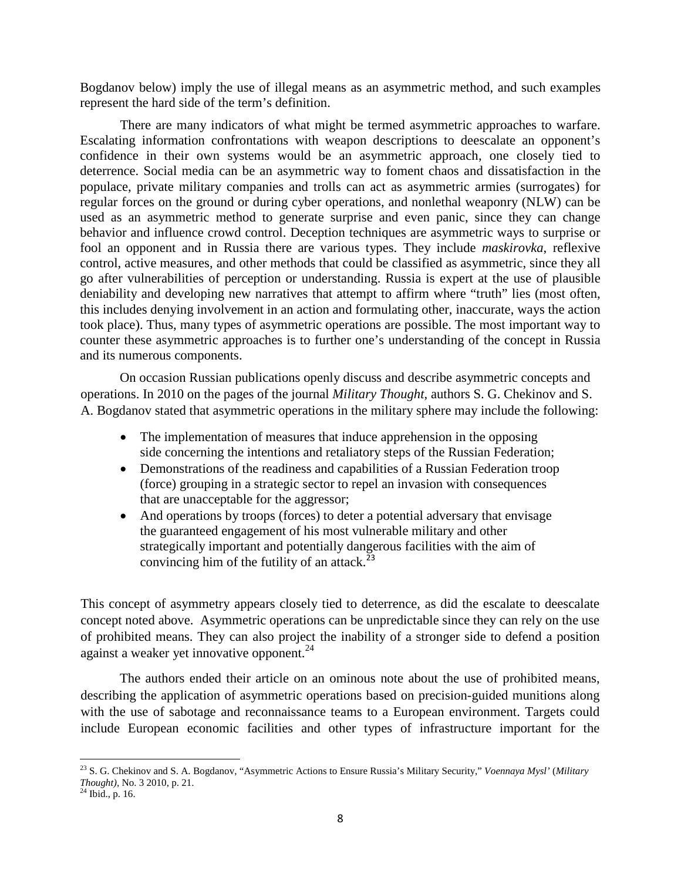Bogdanov below) imply the use of illegal means as an asymmetric method, and such examples represent the hard side of the term's definition.

There are many indicators of what might be termed asymmetric approaches to warfare. Escalating information confrontations with weapon descriptions to deescalate an opponent's confidence in their own systems would be an asymmetric approach, one closely tied to deterrence. Social media can be an asymmetric way to foment chaos and dissatisfaction in the populace, private military companies and trolls can act as asymmetric armies (surrogates) for regular forces on the ground or during cyber operations, and nonlethal weaponry (NLW) can be used as an asymmetric method to generate surprise and even panic, since they can change behavior and influence crowd control. Deception techniques are asymmetric ways to surprise or fool an opponent and in Russia there are various types. They include *maskirovka*, reflexive control, active measures, and other methods that could be classified as asymmetric, since they all go after vulnerabilities of perception or understanding. Russia is expert at the use of plausible deniability and developing new narratives that attempt to affirm where "truth" lies (most often, this includes denying involvement in an action and formulating other, inaccurate, ways the action took place). Thus, many types of asymmetric operations are possible. The most important way to counter these asymmetric approaches is to further one's understanding of the concept in Russia and its numerous components.

On occasion Russian publications openly discuss and describe asymmetric concepts and operations. In 2010 on the pages of the journal *Military Thought*, authors S. G. Chekinov and S. A. Bogdanov stated that asymmetric operations in the military sphere may include the following:

- The implementation of measures that induce apprehension in the opposing side concerning the intentions and retaliatory steps of the Russian Federation;
- Demonstrations of the readiness and capabilities of a Russian Federation troop (force) grouping in a strategic sector to repel an invasion with consequences that are unacceptable for the aggressor;
- And operations by troops (forces) to deter a potential adversary that envisage the guaranteed engagement of his most vulnerable military and other strategically important and potentially dangerous facilities with the aim of convincing him of the futility of an attack. $^{23}$

This concept of asymmetry appears closely tied to deterrence, as did the escalate to deescalate concept noted above. Asymmetric operations can be unpredictable since they can rely on the use of prohibited means. They can also project the inability of a stronger side to defend a position against a weaker yet innovative opponent.<sup>24</sup>

The authors ended their article on an ominous note about the use of prohibited means, describing the application of asymmetric operations based on precision-guided munitions along with the use of sabotage and reconnaissance teams to a European environment. Targets could include European economic facilities and other types of infrastructure important for the

<sup>23</sup> S. G. Chekinov and S. A. Bogdanov, "Asymmetric Actions to Ensure Russia's Military Security," *Voennaya Mysl'* (*Military Thought),* No. 3 2010, p. 21.

 $^{24}$  Ibid., p. 16.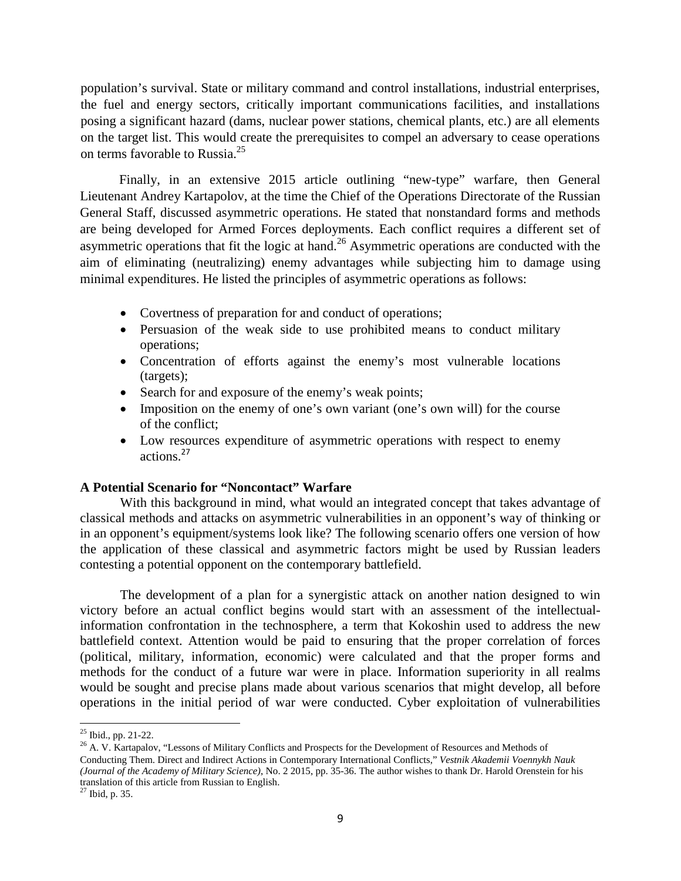population's survival. State or military command and control installations, industrial enterprises, the fuel and energy sectors, critically important communications facilities, and installations posing a significant hazard (dams, nuclear power stations, chemical plants, etc.) are all elements on the target list. This would create the prerequisites to compel an adversary to cease operations on terms favorable to Russia.<sup>25</sup>

Finally, in an extensive 2015 article outlining "new-type" warfare, then General Lieutenant Andrey Kartapolov, at the time the Chief of the Operations Directorate of the Russian General Staff, discussed asymmetric operations. He stated that nonstandard forms and methods are being developed for Armed Forces deployments. Each conflict requires a different set of asymmetric operations that fit the logic at hand.<sup>26</sup> Asymmetric operations are conducted with the aim of eliminating (neutralizing) enemy advantages while subjecting him to damage using minimal expenditures. He listed the principles of asymmetric operations as follows:

- Covertness of preparation for and conduct of operations;
- Persuasion of the weak side to use prohibited means to conduct military operations;
- Concentration of efforts against the enemy's most vulnerable locations (targets);
- Search for and exposure of the enemy's weak points;
- Imposition on the enemy of one's own variant (one's own will) for the course of the conflict;
- Low resources expenditure of asymmetric operations with respect to enemy actions<sup>27</sup>

#### **A Potential Scenario for "Noncontact" Warfare**

With this background in mind, what would an integrated concept that takes advantage of classical methods and attacks on asymmetric vulnerabilities in an opponent's way of thinking or in an opponent's equipment/systems look like? The following scenario offers one version of how the application of these classical and asymmetric factors might be used by Russian leaders contesting a potential opponent on the contemporary battlefield.

The development of a plan for a synergistic attack on another nation designed to win victory before an actual conflict begins would start with an assessment of the intellectualinformation confrontation in the technosphere, a term that Kokoshin used to address the new battlefield context. Attention would be paid to ensuring that the proper correlation of forces (political, military, information, economic) were calculated and that the proper forms and methods for the conduct of a future war were in place. Information superiority in all realms would be sought and precise plans made about various scenarios that might develop, all before operations in the initial period of war were conducted. Cyber exploitation of vulnerabilities

<sup>25</sup> Ibid., pp. 21-22.

<sup>&</sup>lt;sup>26</sup> A. V. Kartapalov, "Lessons of Military Conflicts and Prospects for the Development of Resources and Methods of Conducting Them. Direct and Indirect Actions in Contemporary International Conflicts," *Vestnik Akademii Voennykh Nauk (Journal of the Academy of Military Science)*, No. 2 2015, pp. 35-36. The author wishes to thank Dr. Harold Orenstein for his translation of this article from Russian to English.

 $^{27}$  Ibid, p. 35.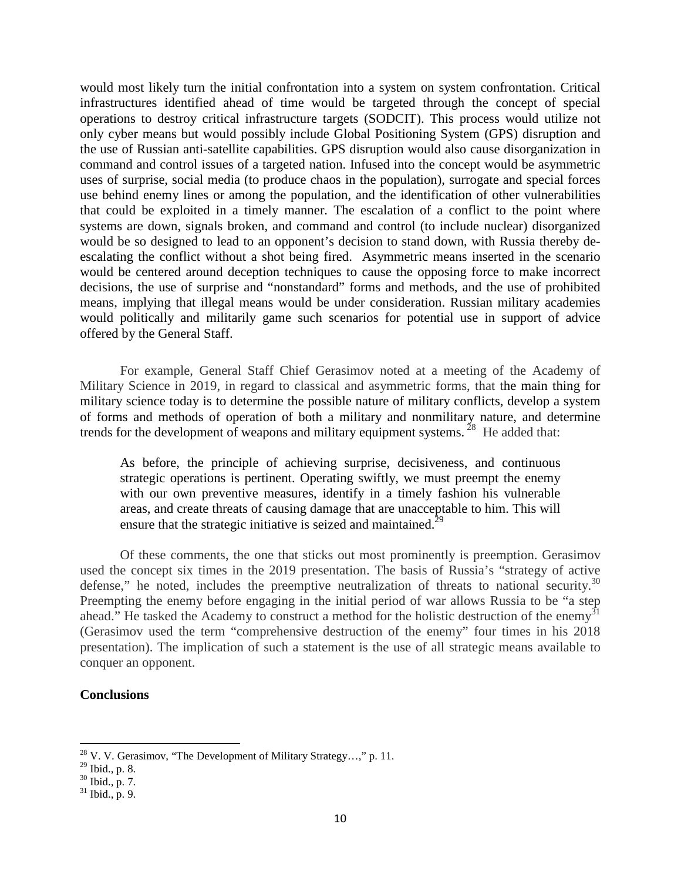would most likely turn the initial confrontation into a system on system confrontation. Critical infrastructures identified ahead of time would be targeted through the concept of special operations to destroy critical infrastructure targets (SODCIT). This process would utilize not only cyber means but would possibly include Global Positioning System (GPS) disruption and the use of Russian anti-satellite capabilities. GPS disruption would also cause disorganization in command and control issues of a targeted nation. Infused into the concept would be asymmetric uses of surprise, social media (to produce chaos in the population), surrogate and special forces use behind enemy lines or among the population, and the identification of other vulnerabilities that could be exploited in a timely manner. The escalation of a conflict to the point where systems are down, signals broken, and command and control (to include nuclear) disorganized would be so designed to lead to an opponent's decision to stand down, with Russia thereby deescalating the conflict without a shot being fired. Asymmetric means inserted in the scenario would be centered around deception techniques to cause the opposing force to make incorrect decisions, the use of surprise and "nonstandard" forms and methods, and the use of prohibited means, implying that illegal means would be under consideration. Russian military academies would politically and militarily game such scenarios for potential use in support of advice offered by the General Staff.

For example, General Staff Chief Gerasimov noted at a meeting of the Academy of Military Science in 2019, in regard to classical and asymmetric forms, that the main thing for military science today is to determine the possible nature of military conflicts, develop a system of forms and methods of operation of both a military and nonmilitary nature, and determine trends for the development of weapons and military equipment systems.<sup>28</sup> He added that:

As before, the principle of achieving surprise, decisiveness, and continuous strategic operations is pertinent. Operating swiftly, we must preempt the enemy with our own preventive measures, identify in a timely fashion his vulnerable areas, and create threats of causing damage that are unacceptable to him. This will ensure that the strategic initiative is seized and maintained.<sup>29</sup>

Of these comments, the one that sticks out most prominently is preemption. Gerasimov used the concept six times in the 2019 presentation. The basis of Russia's "strategy of active defense," he noted, includes the preemptive neutralization of threats to national security. $30$ Preempting the enemy before engaging in the initial period of war allows Russia to be "a step ahead." He tasked the Academy to construct a method for the holistic destruction of the enemy<sup>31</sup> (Gerasimov used the term "comprehensive destruction of the enemy" four times in his 2018 presentation). The implication of such a statement is the use of all strategic means available to conquer an opponent.

### **Conclusions**

 $^{28}$  V. V. Gerasimov, "The Development of Military Strategy...," p. 11.

 $^{29}$  Ibid., p. 8.

 $30$  Ibid., p. 7.

 $31$  Ibid., p. 9.